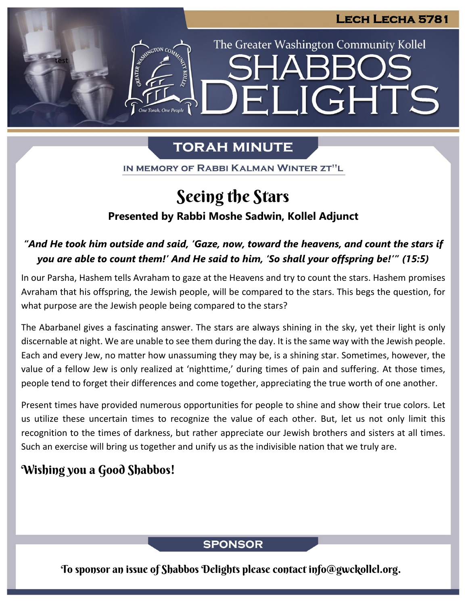# The Greater Washington Community Kollel LIGHTS Hil

### **TORAH MINUTE**

IN MEMORY OF RABBI KALMAN WINTER ZT"L

## Seeing the Stars

### **Presented by Rabbi Moshe Sadwin, Kollel Adjunct**

### *"And He took him outside and said, 'Gaze, now, toward the heavens, and count the stars if you are able to count them!' And He said to him, 'So shall your offspring be!'" (15:5)*

In our Parsha, Hashem tells Avraham to gaze at the Heavens and try to count the stars. Hashem promises Avraham that his offspring, the Jewish people, will be compared to the stars. This begs the question, for what purpose are the Jewish people being compared to the stars?

The Abarbanel gives a fascinating answer. The stars are always shining in the sky, yet their light is only discernable at night. We are unable to see them during the day. It is the same way with the Jewish people. Each and every Jew, no matter how unassuming they may be, is a shining star. Sometimes, however, the value of a fellow Jew is only realized at 'nighttime,' during times of pain and suffering. At those times, people tend to forget their differences and come together, appreciating the true worth of one another.

Present times have provided numerous opportunities for people to shine and show their true colors. Let us utilize these uncertain times to recognize the value of each other. But, let us not only limit this recognition to the times of darkness, but rather appreciate our Jewish brothers and sisters at all times. Such an exercise will bring us together and unify us as the indivisible nation that we truly are.

### Wishing you a Good Shabbos!

test

#### **SPONSOR**

To sponsor an issue of Shabbos Delights please contact info@gwckollel.org.